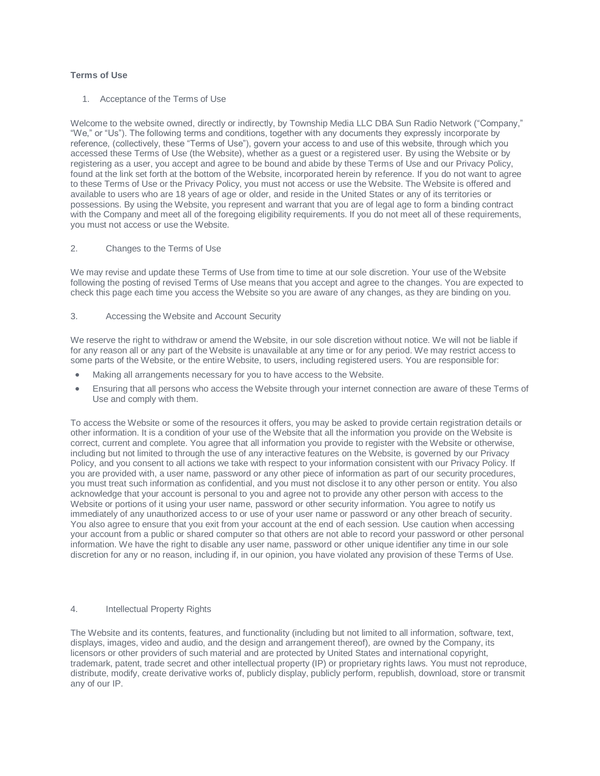# **Terms of Use**

1. Acceptance of the Terms of Use

Welcome to the website owned, directly or indirectly, by Township Media LLC DBA Sun Radio Network ("Company," "We," or "Us"). The following terms and conditions, together with any documents they expressly incorporate by reference, (collectively, these "Terms of Use"), govern your access to and use of this website, through which you accessed these Terms of Use (the Website), whether as a guest or a registered user. By using the Website or by registering as a user, you accept and agree to be bound and abide by these Terms of Use and our Privacy Policy, found at the link set forth at the bottom of the Website, incorporated herein by reference. If you do not want to agree to these Terms of Use or the Privacy Policy, you must not access or use the Website. The Website is offered and available to users who are 18 years of age or older, and reside in the United States or any of its territories or possessions. By using the Website, you represent and warrant that you are of legal age to form a binding contract with the Company and meet all of the foregoing eligibility requirements. If you do not meet all of these requirements, you must not access or use the Website.

# 2. Changes to the Terms of Use

We may revise and update these Terms of Use from time to time at our sole discretion. Your use of the Website following the posting of revised Terms of Use means that you accept and agree to the changes. You are expected to check this page each time you access the Website so you are aware of any changes, as they are binding on you.

#### 3. Accessing the Website and Account Security

We reserve the right to withdraw or amend the Website, in our sole discretion without notice. We will not be liable if for any reason all or any part of the Website is unavailable at any time or for any period. We may restrict access to some parts of the Website, or the entire Website, to users, including registered users. You are responsible for:

- Making all arrangements necessary for you to have access to the Website.
- Ensuring that all persons who access the Website through your internet connection are aware of these Terms of Use and comply with them.

To access the Website or some of the resources it offers, you may be asked to provide certain registration details or other information. It is a condition of your use of the Website that all the information you provide on the Website is correct, current and complete. You agree that all information you provide to register with the Website or otherwise, including but not limited to through the use of any interactive features on the Website, is governed by our Privacy Policy, and you consent to all actions we take with respect to your information consistent with our Privacy Policy. If you are provided with, a user name, password or any other piece of information as part of our security procedures, you must treat such information as confidential, and you must not disclose it to any other person or entity. You also acknowledge that your account is personal to you and agree not to provide any other person with access to the Website or portions of it using your user name, password or other security information. You agree to notify us immediately of any unauthorized access to or use of your user name or password or any other breach of security. You also agree to ensure that you exit from your account at the end of each session. Use caution when accessing your account from a public or shared computer so that others are not able to record your password or other personal information. We have the right to disable any user name, password or other unique identifier any time in our sole discretion for any or no reason, including if, in our opinion, you have violated any provision of these Terms of Use.

# 4. Intellectual Property Rights

The Website and its contents, features, and functionality (including but not limited to all information, software, text, displays, images, video and audio, and the design and arrangement thereof), are owned by the Company, its licensors or other providers of such material and are protected by United States and international copyright, trademark, patent, trade secret and other intellectual property (IP) or proprietary rights laws. You must not reproduce, distribute, modify, create derivative works of, publicly display, publicly perform, republish, download, store or transmit any of our IP.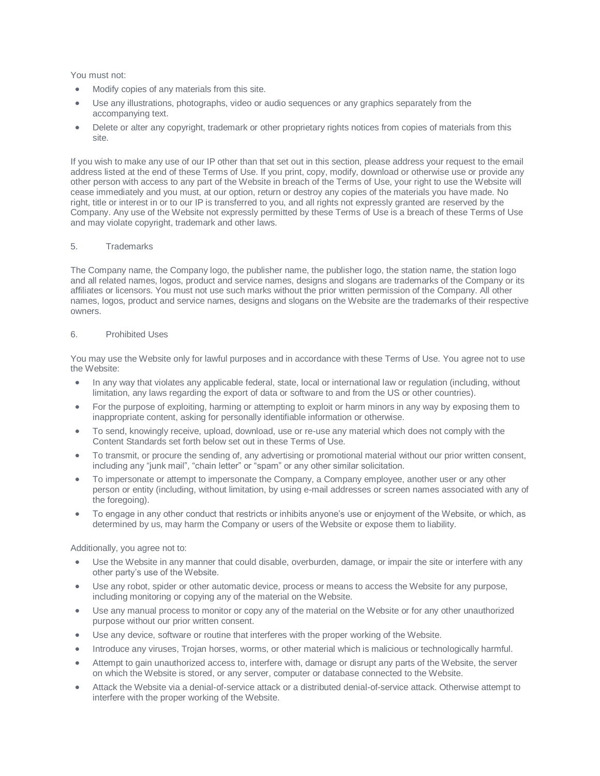You must not:

- Modify copies of any materials from this site.
- Use any illustrations, photographs, video or audio sequences or any graphics separately from the accompanying text.
- Delete or alter any copyright, trademark or other proprietary rights notices from copies of materials from this site.

If you wish to make any use of our IP other than that set out in this section, please address your request to the email address listed at the end of these Terms of Use. If you print, copy, modify, download or otherwise use or provide any other person with access to any part of the Website in breach of the Terms of Use, your right to use the Website will cease immediately and you must, at our option, return or destroy any copies of the materials you have made. No right, title or interest in or to our IP is transferred to you, and all rights not expressly granted are reserved by the Company. Any use of the Website not expressly permitted by these Terms of Use is a breach of these Terms of Use and may violate copyright, trademark and other laws.

#### 5. Trademarks

The Company name, the Company logo, the publisher name, the publisher logo, the station name, the station logo and all related names, logos, product and service names, designs and slogans are trademarks of the Company or its affiliates or licensors. You must not use such marks without the prior written permission of the Company. All other names, logos, product and service names, designs and slogans on the Website are the trademarks of their respective owners.

### 6. Prohibited Uses

You may use the Website only for lawful purposes and in accordance with these Terms of Use. You agree not to use the Website:

- In any way that violates any applicable federal, state, local or international law or regulation (including, without limitation, any laws regarding the export of data or software to and from the US or other countries).
- For the purpose of exploiting, harming or attempting to exploit or harm minors in any way by exposing them to inappropriate content, asking for personally identifiable information or otherwise.
- To send, knowingly receive, upload, download, use or re-use any material which does not comply with the Content Standards set forth below set out in these Terms of Use.
- To transmit, or procure the sending of, any advertising or promotional material without our prior written consent, including any "junk mail", "chain letter" or "spam" or any other similar solicitation.
- To impersonate or attempt to impersonate the Company, a Company employee, another user or any other person or entity (including, without limitation, by using e-mail addresses or screen names associated with any of the foregoing).
- To engage in any other conduct that restricts or inhibits anyone's use or enjoyment of the Website, or which, as determined by us, may harm the Company or users of the Website or expose them to liability.

#### Additionally, you agree not to:

- Use the Website in any manner that could disable, overburden, damage, or impair the site or interfere with any other party's use of the Website.
- Use any robot, spider or other automatic device, process or means to access the Website for any purpose, including monitoring or copying any of the material on the Website.
- Use any manual process to monitor or copy any of the material on the Website or for any other unauthorized purpose without our prior written consent.
- Use any device, software or routine that interferes with the proper working of the Website.
- Introduce any viruses, Trojan horses, worms, or other material which is malicious or technologically harmful.
- Attempt to gain unauthorized access to, interfere with, damage or disrupt any parts of the Website, the server on which the Website is stored, or any server, computer or database connected to the Website.
- Attack the Website via a denial-of-service attack or a distributed denial-of-service attack. Otherwise attempt to interfere with the proper working of the Website.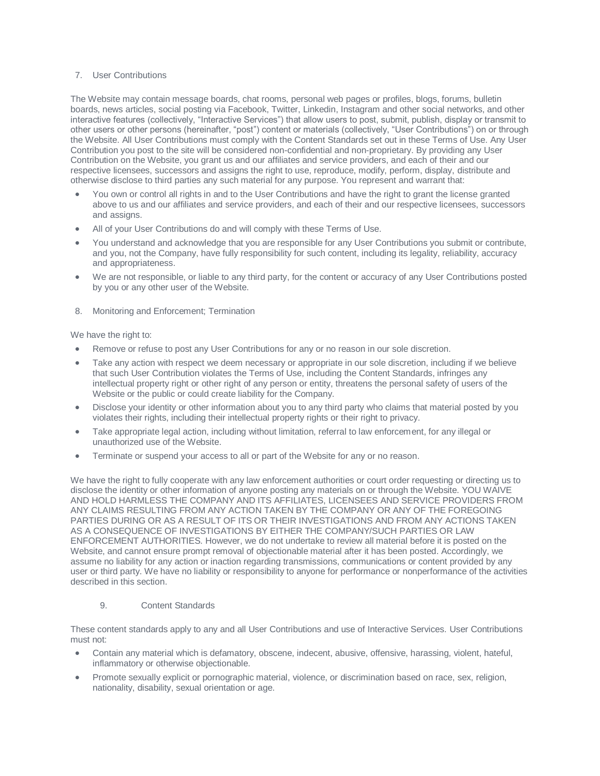## 7. User Contributions

The Website may contain message boards, chat rooms, personal web pages or profiles, blogs, forums, bulletin boards, news articles, social posting via Facebook, Twitter, Linkedin, Instagram and other social networks, and other interactive features (collectively, "Interactive Services") that allow users to post, submit, publish, display or transmit to other users or other persons (hereinafter, "post") content or materials (collectively, "User Contributions") on or through the Website. All User Contributions must comply with the Content Standards set out in these Terms of Use. Any User Contribution you post to the site will be considered non-confidential and non-proprietary. By providing any User Contribution on the Website, you grant us and our affiliates and service providers, and each of their and our respective licensees, successors and assigns the right to use, reproduce, modify, perform, display, distribute and otherwise disclose to third parties any such material for any purpose. You represent and warrant that:

- You own or control all rights in and to the User Contributions and have the right to grant the license granted above to us and our affiliates and service providers, and each of their and our respective licensees, successors and assigns.
- All of your User Contributions do and will comply with these Terms of Use.
- You understand and acknowledge that you are responsible for any User Contributions you submit or contribute, and you, not the Company, have fully responsibility for such content, including its legality, reliability, accuracy and appropriateness.
- We are not responsible, or liable to any third party, for the content or accuracy of any User Contributions posted by you or any other user of the Website.
- 8. Monitoring and Enforcement; Termination

We have the right to:

- Remove or refuse to post any User Contributions for any or no reason in our sole discretion.
- Take any action with respect we deem necessary or appropriate in our sole discretion, including if we believe that such User Contribution violates the Terms of Use, including the Content Standards, infringes any intellectual property right or other right of any person or entity, threatens the personal safety of users of the Website or the public or could create liability for the Company.
- Disclose your identity or other information about you to any third party who claims that material posted by you violates their rights, including their intellectual property rights or their right to privacy.
- Take appropriate legal action, including without limitation, referral to law enforcement, for any illegal or unauthorized use of the Website.
- Terminate or suspend your access to all or part of the Website for any or no reason.

We have the right to fully cooperate with any law enforcement authorities or court order requesting or directing us to disclose the identity or other information of anyone posting any materials on or through the Website. YOU WAIVE AND HOLD HARMLESS THE COMPANY AND ITS AFFILIATES, LICENSEES AND SERVICE PROVIDERS FROM ANY CLAIMS RESULTING FROM ANY ACTION TAKEN BY THE COMPANY OR ANY OF THE FOREGOING PARTIES DURING OR AS A RESULT OF ITS OR THEIR INVESTIGATIONS AND FROM ANY ACTIONS TAKEN AS A CONSEQUENCE OF INVESTIGATIONS BY EITHER THE COMPANY/SUCH PARTIES OR LAW ENFORCEMENT AUTHORITIES. However, we do not undertake to review all material before it is posted on the Website, and cannot ensure prompt removal of objectionable material after it has been posted. Accordingly, we assume no liability for any action or inaction regarding transmissions, communications or content provided by any user or third party. We have no liability or responsibility to anyone for performance or nonperformance of the activities described in this section.

## 9. Content Standards

These content standards apply to any and all User Contributions and use of Interactive Services. User Contributions must not:

- Contain any material which is defamatory, obscene, indecent, abusive, offensive, harassing, violent, hateful, inflammatory or otherwise objectionable.
- Promote sexually explicit or pornographic material, violence, or discrimination based on race, sex, religion, nationality, disability, sexual orientation or age.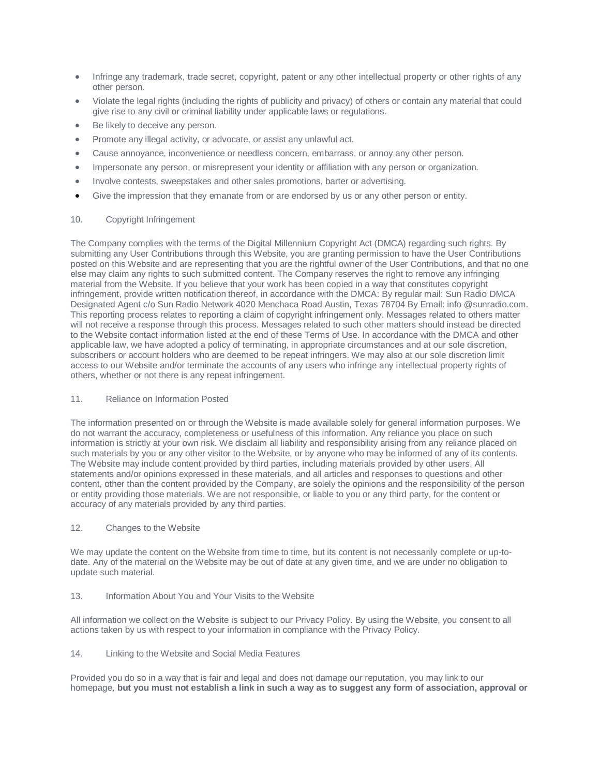- Infringe any trademark, trade secret, copyright, patent or any other intellectual property or other rights of any other person.
- Violate the legal rights (including the rights of publicity and privacy) of others or contain any material that could give rise to any civil or criminal liability under applicable laws or regulations.
- Be likely to deceive any person.
- Promote any illegal activity, or advocate, or assist any unlawful act.
- Cause annoyance, inconvenience or needless concern, embarrass, or annoy any other person.
- Impersonate any person, or misrepresent your identity or affiliation with any person or organization.
- Involve contests, sweepstakes and other sales promotions, barter or advertising.
- Give the impression that they emanate from or are endorsed by us or any other person or entity.

#### 10. Copyright Infringement

The Company complies with the terms of the Digital Millennium Copyright Act (DMCA) regarding such rights. By submitting any User Contributions through this Website, you are granting permission to have the User Contributions posted on this Website and are representing that you are the rightful owner of the User Contributions, and that no one else may claim any rights to such submitted content. The Company reserves the right to remove any infringing material from the Website. If you believe that your work has been copied in a way that constitutes copyright infringement, provide written notification thereof, in accordance with the DMCA: By regular mail: Sun Radio DMCA Designated Agent c/o Sun Radio Network 4020 Menchaca Road Austin, Texas 78704 By Email: info @sunradio.com. This reporting process relates to reporting a claim of copyright infringement only. Messages related to others matter will not receive a response through this process. Messages related to such other matters should instead be directed to the Website contact information listed at the end of these Terms of Use. In accordance with the DMCA and other applicable law, we have adopted a policy of terminating, in appropriate circumstances and at our sole discretion, subscribers or account holders who are deemed to be repeat infringers. We may also at our sole discretion limit access to our Website and/or terminate the accounts of any users who infringe any intellectual property rights of others, whether or not there is any repeat infringement.

## 11. Reliance on Information Posted

The information presented on or through the Website is made available solely for general information purposes. We do not warrant the accuracy, completeness or usefulness of this information. Any reliance you place on such information is strictly at your own risk. We disclaim all liability and responsibility arising from any reliance placed on such materials by you or any other visitor to the Website, or by anyone who may be informed of any of its contents. The Website may include content provided by third parties, including materials provided by other users. All statements and/or opinions expressed in these materials, and all articles and responses to questions and other content, other than the content provided by the Company, are solely the opinions and the responsibility of the person or entity providing those materials. We are not responsible, or liable to you or any third party, for the content or accuracy of any materials provided by any third parties.

#### 12. Changes to the Website

We may update the content on the Website from time to time, but its content is not necessarily complete or up-todate. Any of the material on the Website may be out of date at any given time, and we are under no obligation to update such material.

# 13. Information About You and Your Visits to the Website

All information we collect on the Website is subject to our Privacy Policy. By using the Website, you consent to all actions taken by us with respect to your information in compliance with the Privacy Policy.

#### 14. Linking to the Website and Social Media Features

Provided you do so in a way that is fair and legal and does not damage our reputation, you may link to our homepage, **but you must not establish a link in such a way as to suggest any form of association, approval or**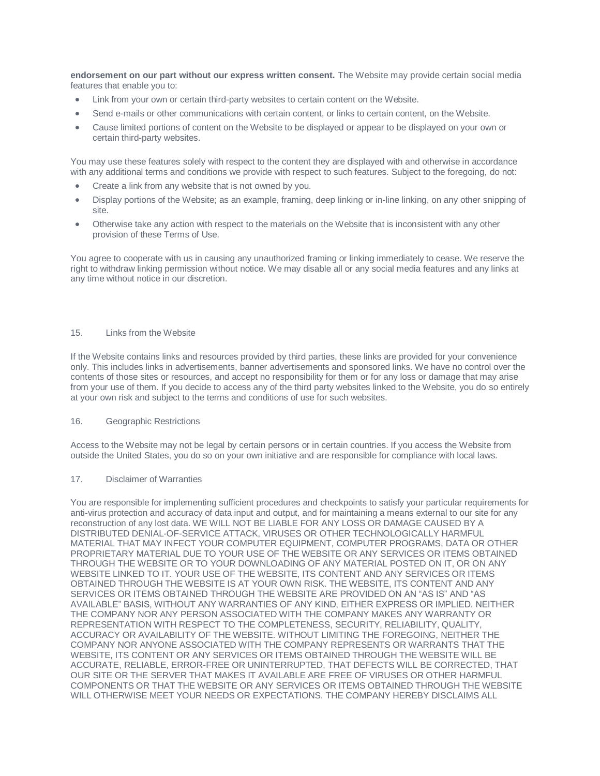**endorsement on our part without our express written consent.** The Website may provide certain social media features that enable you to:

- Link from your own or certain third-party websites to certain content on the Website.
- Send e-mails or other communications with certain content, or links to certain content, on the Website.
- Cause limited portions of content on the Website to be displayed or appear to be displayed on your own or certain third-party websites.

You may use these features solely with respect to the content they are displayed with and otherwise in accordance with any additional terms and conditions we provide with respect to such features. Subject to the foregoing, do not:

- Create a link from any website that is not owned by you.
- Display portions of the Website; as an example, framing, deep linking or in-line linking, on any other snipping of site.
- Otherwise take any action with respect to the materials on the Website that is inconsistent with any other provision of these Terms of Use.

You agree to cooperate with us in causing any unauthorized framing or linking immediately to cease. We reserve the right to withdraw linking permission without notice. We may disable all or any social media features and any links at any time without notice in our discretion.

# 15. Links from the Website

If the Website contains links and resources provided by third parties, these links are provided for your convenience only. This includes links in advertisements, banner advertisements and sponsored links. We have no control over the contents of those sites or resources, and accept no responsibility for them or for any loss or damage that may arise from your use of them. If you decide to access any of the third party websites linked to the Website, you do so entirely at your own risk and subject to the terms and conditions of use for such websites.

#### 16. Geographic Restrictions

Access to the Website may not be legal by certain persons or in certain countries. If you access the Website from outside the United States, you do so on your own initiative and are responsible for compliance with local laws.

#### 17. Disclaimer of Warranties

You are responsible for implementing sufficient procedures and checkpoints to satisfy your particular requirements for anti-virus protection and accuracy of data input and output, and for maintaining a means external to our site for any reconstruction of any lost data. WE WILL NOT BE LIABLE FOR ANY LOSS OR DAMAGE CAUSED BY A DISTRIBUTED DENIAL-OF-SERVICE ATTACK, VIRUSES OR OTHER TECHNOLOGICALLY HARMFUL MATERIAL THAT MAY INFECT YOUR COMPUTER EQUIPMENT, COMPUTER PROGRAMS, DATA OR OTHER PROPRIETARY MATERIAL DUE TO YOUR USE OF THE WEBSITE OR ANY SERVICES OR ITEMS OBTAINED THROUGH THE WEBSITE OR TO YOUR DOWNLOADING OF ANY MATERIAL POSTED ON IT, OR ON ANY WEBSITE LINKED TO IT. YOUR USE OF THE WEBSITE, ITS CONTENT AND ANY SERVICES OR ITEMS OBTAINED THROUGH THE WEBSITE IS AT YOUR OWN RISK. THE WEBSITE, ITS CONTENT AND ANY SERVICES OR ITEMS OBTAINED THROUGH THE WEBSITE ARE PROVIDED ON AN "AS IS" AND "AS AVAILABLE" BASIS, WITHOUT ANY WARRANTIES OF ANY KIND, EITHER EXPRESS OR IMPLIED. NEITHER THE COMPANY NOR ANY PERSON ASSOCIATED WITH THE COMPANY MAKES ANY WARRANTY OR REPRESENTATION WITH RESPECT TO THE COMPLETENESS, SECURITY, RELIABILITY, QUALITY, ACCURACY OR AVAILABILITY OF THE WEBSITE. WITHOUT LIMITING THE FOREGOING, NEITHER THE COMPANY NOR ANYONE ASSOCIATED WITH THE COMPANY REPRESENTS OR WARRANTS THAT THE WEBSITE, ITS CONTENT OR ANY SERVICES OR ITEMS OBTAINED THROUGH THE WEBSITE WILL BE ACCURATE, RELIABLE, ERROR-FREE OR UNINTERRUPTED, THAT DEFECTS WILL BE CORRECTED, THAT OUR SITE OR THE SERVER THAT MAKES IT AVAILABLE ARE FREE OF VIRUSES OR OTHER HARMFUL COMPONENTS OR THAT THE WEBSITE OR ANY SERVICES OR ITEMS OBTAINED THROUGH THE WEBSITE WILL OTHERWISE MEET YOUR NEEDS OR EXPECTATIONS. THE COMPANY HEREBY DISCLAIMS ALL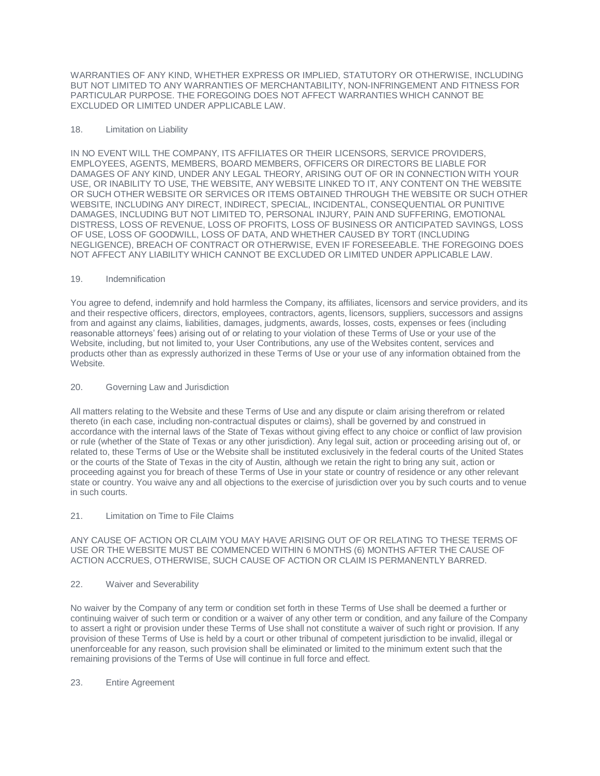WARRANTIES OF ANY KIND, WHETHER EXPRESS OR IMPLIED, STATUTORY OR OTHERWISE, INCLUDING BUT NOT LIMITED TO ANY WARRANTIES OF MERCHANTABILITY, NON-INFRINGEMENT AND FITNESS FOR PARTICULAR PURPOSE. THE FOREGOING DOES NOT AFFECT WARRANTIES WHICH CANNOT BE EXCLUDED OR LIMITED UNDER APPLICABLE LAW.

# 18. Limitation on Liability

IN NO EVENT WILL THE COMPANY, ITS AFFILIATES OR THEIR LICENSORS, SERVICE PROVIDERS, EMPLOYEES, AGENTS, MEMBERS, BOARD MEMBERS, OFFICERS OR DIRECTORS BE LIABLE FOR DAMAGES OF ANY KIND, UNDER ANY LEGAL THEORY, ARISING OUT OF OR IN CONNECTION WITH YOUR USE, OR INABILITY TO USE, THE WEBSITE, ANY WEBSITE LINKED TO IT, ANY CONTENT ON THE WEBSITE OR SUCH OTHER WEBSITE OR SERVICES OR ITEMS OBTAINED THROUGH THE WEBSITE OR SUCH OTHER WEBSITE, INCLUDING ANY DIRECT, INDIRECT, SPECIAL, INCIDENTAL, CONSEQUENTIAL OR PUNITIVE DAMAGES, INCLUDING BUT NOT LIMITED TO, PERSONAL INJURY, PAIN AND SUFFERING, EMOTIONAL DISTRESS, LOSS OF REVENUE, LOSS OF PROFITS, LOSS OF BUSINESS OR ANTICIPATED SAVINGS, LOSS OF USE, LOSS OF GOODWILL, LOSS OF DATA, AND WHETHER CAUSED BY TORT (INCLUDING NEGLIGENCE), BREACH OF CONTRACT OR OTHERWISE, EVEN IF FORESEEABLE. THE FOREGOING DOES NOT AFFECT ANY LIABILITY WHICH CANNOT BE EXCLUDED OR LIMITED UNDER APPLICABLE LAW.

#### 19. Indemnification

You agree to defend, indemnify and hold harmless the Company, its affiliates, licensors and service providers, and its and their respective officers, directors, employees, contractors, agents, licensors, suppliers, successors and assigns from and against any claims, liabilities, damages, judgments, awards, losses, costs, expenses or fees (including reasonable attorneys' fees) arising out of or relating to your violation of these Terms of Use or your use of the Website, including, but not limited to, your User Contributions, any use of the Websites content, services and products other than as expressly authorized in these Terms of Use or your use of any information obtained from the Website.

## 20. Governing Law and Jurisdiction

All matters relating to the Website and these Terms of Use and any dispute or claim arising therefrom or related thereto (in each case, including non-contractual disputes or claims), shall be governed by and construed in accordance with the internal laws of the State of Texas without giving effect to any choice or conflict of law provision or rule (whether of the State of Texas or any other jurisdiction). Any legal suit, action or proceeding arising out of, or related to, these Terms of Use or the Website shall be instituted exclusively in the federal courts of the United States or the courts of the State of Texas in the city of Austin, although we retain the right to bring any suit, action or proceeding against you for breach of these Terms of Use in your state or country of residence or any other relevant state or country. You waive any and all objections to the exercise of jurisdiction over you by such courts and to venue in such courts.

#### 21. Limitation on Time to File Claims

ANY CAUSE OF ACTION OR CLAIM YOU MAY HAVE ARISING OUT OF OR RELATING TO THESE TERMS OF USE OR THE WEBSITE MUST BE COMMENCED WITHIN 6 MONTHS (6) MONTHS AFTER THE CAUSE OF ACTION ACCRUES, OTHERWISE, SUCH CAUSE OF ACTION OR CLAIM IS PERMANENTLY BARRED.

## 22. Waiver and Severability

No waiver by the Company of any term or condition set forth in these Terms of Use shall be deemed a further or continuing waiver of such term or condition or a waiver of any other term or condition, and any failure of the Company to assert a right or provision under these Terms of Use shall not constitute a waiver of such right or provision. If any provision of these Terms of Use is held by a court or other tribunal of competent jurisdiction to be invalid, illegal or unenforceable for any reason, such provision shall be eliminated or limited to the minimum extent such that the remaining provisions of the Terms of Use will continue in full force and effect.

#### 23. Entire Agreement